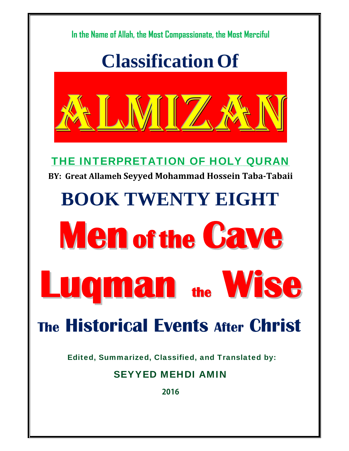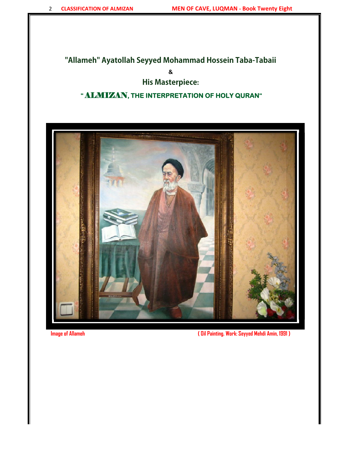### **"Allameh" Ayatollah Seyyed Mohammad Hossein Taba-Tabaii**

**&** 

### **His Masterpiece:**

### **"** ALMIZAN**, THE INTERPRETATION OF HOLY QURAN"**



**Image of Allameh ( Oil Painting. Work: Seyyed Mehdi Amin, 1991 )**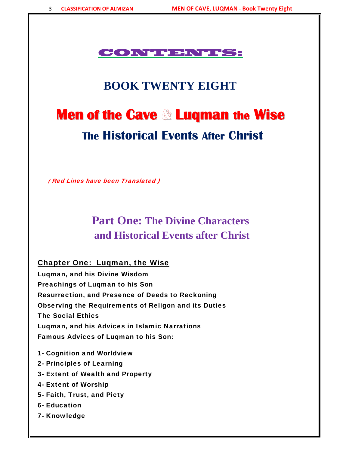### CONTENTS:

# **BOOK TWENTY EIGHT**

# **Men of the Cave & Luqman the Wise The Historical Events After Christ**

 **(** Red Lines have been Translated )

# **Part One: The Divine Characters and Historical Events after Christ**

### Chapter One: Luqman, the Wise

Luqman, and his Divine Wisdom Preachings of Luqman to his Son Resurrection, and Presence of Deeds to Reckoning Observing the Requirements of Religon and its Duties The Social Ethics Luqman, and his Advices in Islamic Narrations Famous Advices of Luqman to his Son:

- 1- Cognition and Worldview
- 2- Principles of Learning
- 3- Extent of Wealth and Property
- 4- Extent of Worship
- 5- Faith, Trust, and Piety
- 6- Education
- 7- Knowledge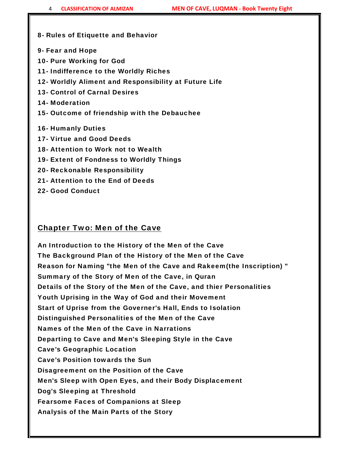#### 8- Rules of Etiquette and Behavior

- 9- Fear and Hope
- 10- Pure Working for God
- 11- Indifference to the Worldly Riches
- 12- Worldly Aliment and Responsibility at Future Life
- 13- Control of Carnal Desires
- 14- Moderation
- 15- Outcome of friendship with the Debauchee
- 16- Humanly Duties
- 17- Virtue and Good Deeds
- 18- Attention to Work not to Wealth
- 19- Extent of Fondness to Worldly Things
- 20- Reckonable Responsibility
- 21- Attention to the End of Deeds
- 22- Good Conduct

### Chapter Two: Men of the Cave

An Introduction to the History of the Men of the Cave The Background Plan of the History of the Men of the Cave Reason for Naming "the Men of the Cave and Rakeem(the Inscription) " Summary of the Story of Men of the Cave, in Quran Details of the Story of the Men of the Cave, and thier Personalities Youth Uprising in the Way of God and their Movement Start of Uprise from the Governer's Hall, Ends to Isolation Distinguished Personalities of the Men of the Cave Names of the Men of the Cave in Narrations Departing to Cave and Men's Sleeping Style in the Cave Cave's Geographic Location Cave's Position towards the Sun Disagreement on the Position of the Cave Men's Sleep with Open Eyes, and their Body Displacement Dog's Sleeping at Threshold Fearsome Faces of Companions at Sleep Analysis of the Main Parts of the Story